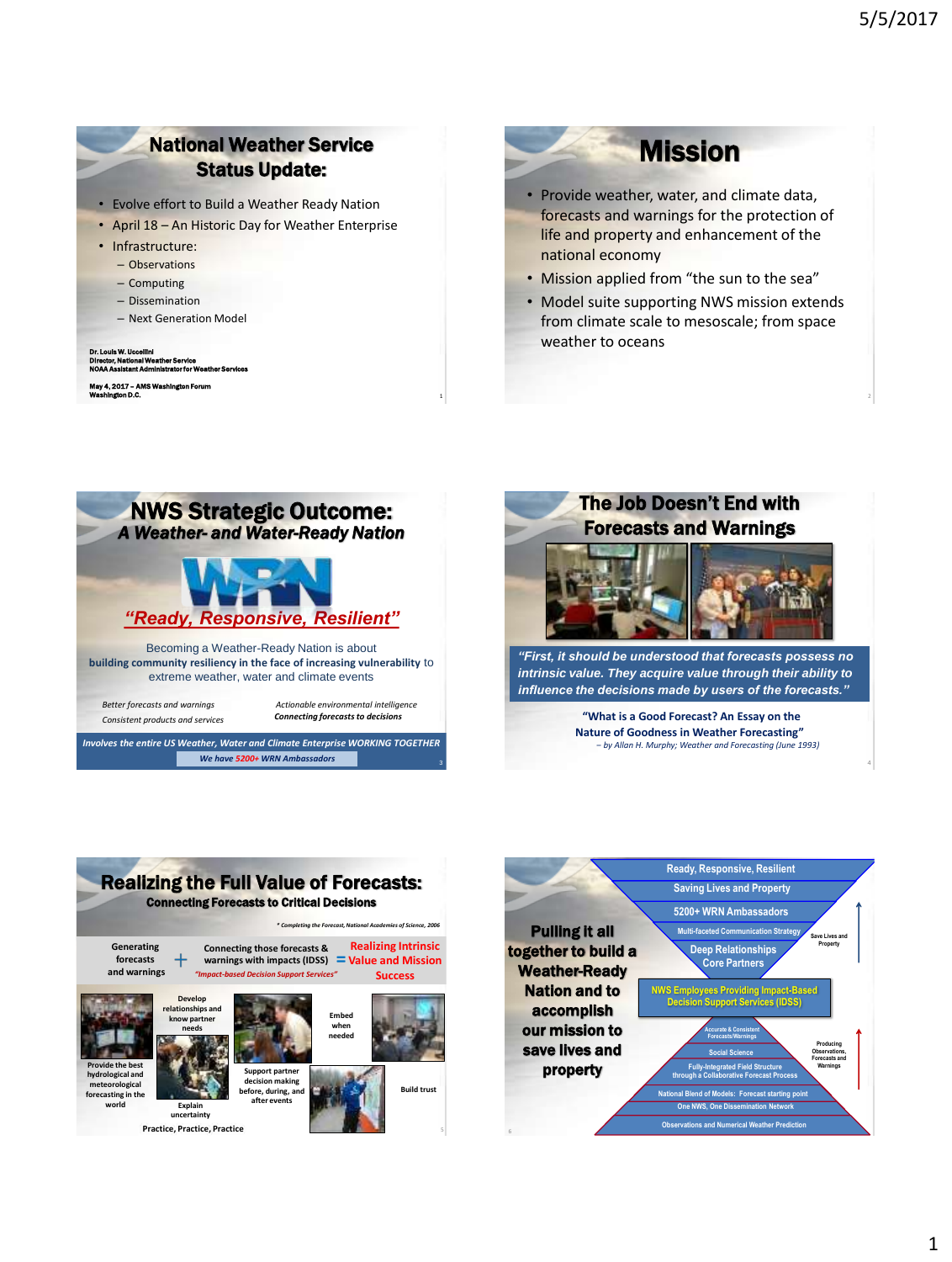### National Weather Service Status Update:

- Evolve effort to Build a Weather Ready Nation
- April 18 An Historic Day for Weather Enterprise
- Infrastructure:
	- Observations
	- Computing
	- Dissemination
	- Next Generation Model

#### Dr. Louis W. Uccellini Director, National Weather Service NOAA Assistant Administrator for Weather Services

May 4, 2017 – AMS Washington Forum **Washington D.C.**  $\frac{1}{1}$ 

# **Mission**

- Provide weather, water, and climate data, forecasts and warnings for the protection of life and property and enhancement of the national economy
- Mission applied from "the sun to the sea"
- Model suite supporting NWS mission extends from climate scale to mesoscale; from space weather to oceans





Realizing the Full Value of Forecasts: Connecting Forecasts to Critical Decisions **Generating forecasts and warnings Connecting those forecasts & warnings with impacts (IDSS)**  $=$  **Value and Mission Realizing Intrinsic Success** *"Impact-based Decision Support Services" \* Completing the Forecast, National Academies of Science, 2006* **Provide the best hydrological and meteorological forecasting in the world Support partner decision making before, during, and after events Develop relationships and know partner needs Embed when needed Build trust Explain uncertainty Practice, Practice, Practice** 

5



4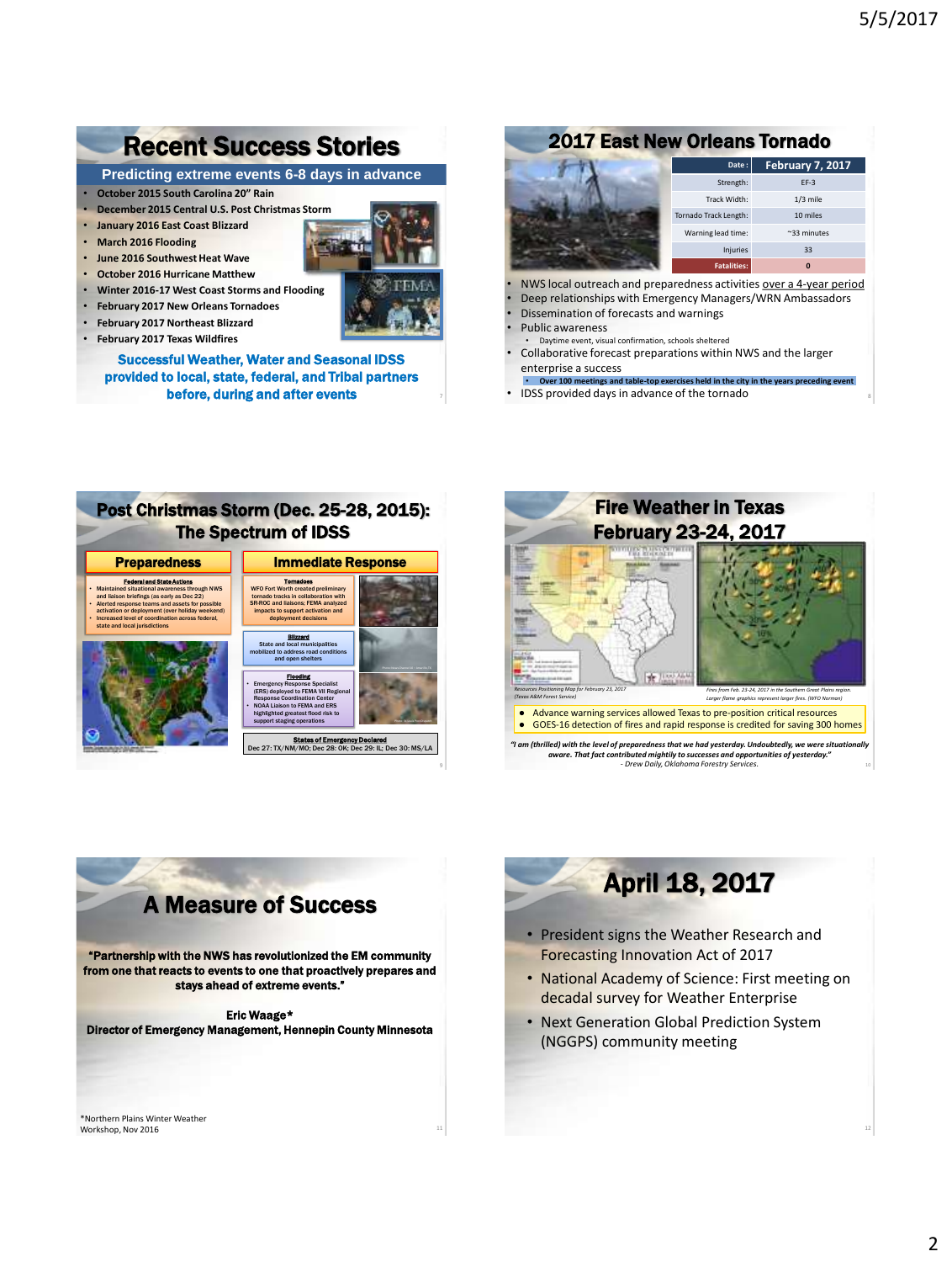## Recent Success Stories

**Predicting extreme events 6-8 days in advance**

- **October 2015 South Carolina 20" Rain**
- **December 2015 Central U.S. Post Christmas Storm**
- **January 2016 East Coast Blizzard**
- **March 2016 Flooding**
- **June 2016 Southwest Heat Wave**
- **October 2016 Hurricane Matthew**
- **Winter 2016-17 West Coast Storms and Flooding**
- **February 2017 New Orleans Tornadoes**
- **February 2017 Northeast Blizzard**
- **February 2017 Texas Wildfires**

Successful Weather, Water and Seasonal IDSS provided to local, state, federal, and Tribal partners before, during and after events

#### 2017 East New Orleans Tornado



- NWS local outreach and preparedness activities over a 4-year period
- Deep relationships with Emergency Managers/WRN Ambassadors • Dissemination of forecasts and warnings
- Public awareness
- 
- Daytime event, visual confirmation, schools sheltered • Collaborative forecast preparations within NWS and the larger enterprise a success
- **Over 100 meetings and table-top exercises held in the city in the years preceding event**
- IDSS provided days in advance of the tornado





## A Measure of Success

"Partnership with the NWS has revolutionized the EM community from one that reacts to events to one that proactively prepares and stays ahead of extreme events."

#### Eric Waage\*

Director of Emergency Management, Hennepin County Minnesota

11

\*Northern Plains Winter Weather Workshop, Nov 2016

# April 18, 2017

- President signs the Weather Research and Forecasting Innovation Act of 2017
- National Academy of Science: First meeting on decadal survey for Weather Enterprise
- Next Generation Global Prediction System (NGGPS) community meeting

12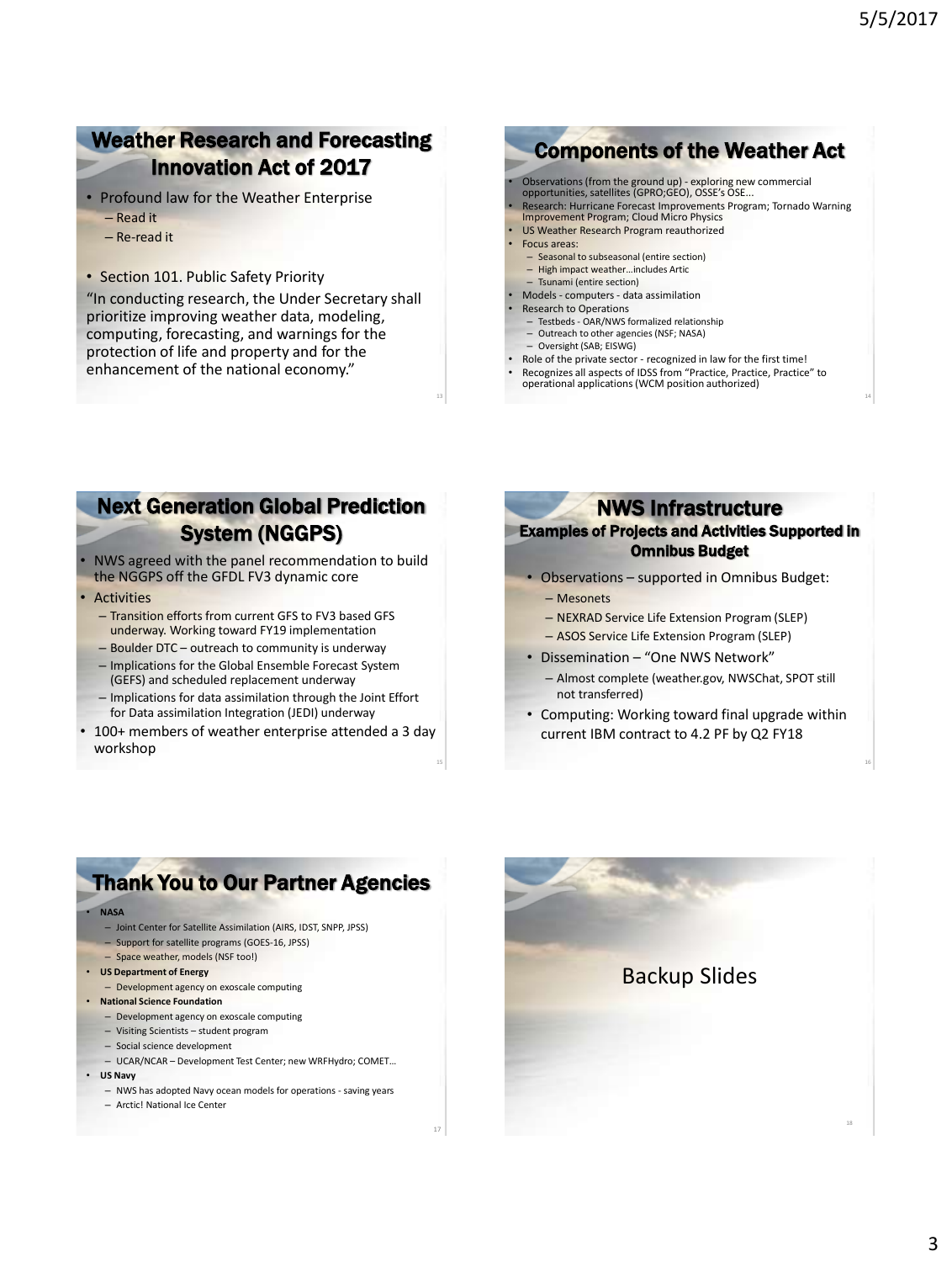14

16

### Weather Research and Forecasting Innovation Act of 2017

- Profound law for the Weather Enterprise
	- Read it
	- Re-read it
- Section 101. Public Safety Priority

"In conducting research, the Under Secretary shall prioritize improving weather data, modeling, computing, forecasting, and warnings for the protection of life and property and for the enhancement of the national economy."

## Components of the Weather Act

- Observations (from the ground up) exploring new commercial opportunities, satellites (GPRO;GEO), OSSE's OSE...
- Research: Hurricane Forecast Improvements Program; Tornado Warning
- Improvement Program; Cloud Micro Physics US Weather Research Program reauthorized
- Focus areas:
	- Seasonal to subseasonal (entire section)
	- High impact weather…includes Artic
- Tsunami (entire section)
- Models computers data assimilation
- Research to Operations
- Testbeds OAR/NWS formalized relationship
- Outreach to other agencies (NSF; NASA)
- Oversight (SAB; EISWG)
- Role of the private sector recognized in law for the first time!
- Recognizes all aspects of IDSS from "Practice, Practice, Practice" to operational applications (WCM position authorized)

### Next Generation Global Prediction System (NGGPS)

- NWS agreed with the panel recommendation to build the NGGPS off the GFDL FV3 dynamic core
- Activities
	- Transition efforts from current GFS to FV3 based GFS underway. Working toward FY19 implementation
	- Boulder DTC outreach to community is underway
	- Implications for the Global Ensemble Forecast System (GEFS) and scheduled replacement underway
	- Implications for data assimilation through the Joint Effort for Data assimilation Integration (JEDI) underway
- 100+ members of weather enterprise attended a 3 day workshop

15

17

#### NWS Infrastructure

#### Examples of Projects and Activities Supported in Omnibus Budget

- Observations supported in Omnibus Budget: – Mesonets
	- NEXRAD Service Life Extension Program (SLEP)
	- ASOS Service Life Extension Program (SLEP)
- Dissemination "One NWS Network"
	- Almost complete (weather.gov, NWSChat, SPOT still not transferred)
- Computing: Working toward final upgrade within current IBM contract to 4.2 PF by Q2 FY18

### Thank You to Our Partner Agencies

#### • **NASA**

- Joint Center for Satellite Assimilation (AIRS, IDST, SNPP, JPSS)
- Support for satellite programs (GOES-16, JPSS)
- Space weather, models (NSF too!)
- **US Department of Energy**
	- Development agency on exoscale computing
- **National Science Foundation**
	- Development agency on exoscale computing
	- Visiting Scientists student program
	- Social science development
- UCAR/NCAR Development Test Center; new WRFHydro; COMET…
- **US Navy**
	- NWS has adopted Navy ocean models for operations saving years
	- Arctic! National Ice Center